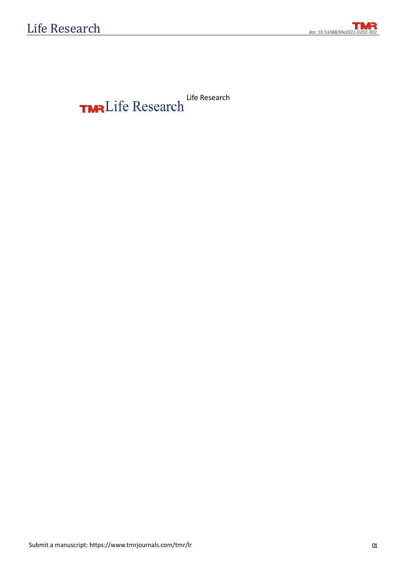doi: 10.53388/life2022-0202-302

**TMR** Life Research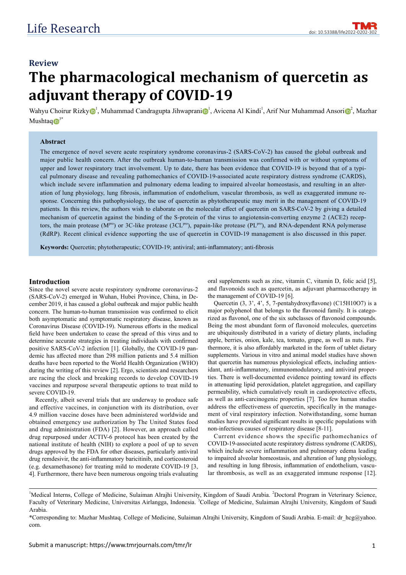# **Review** The pharmacological mechanism of quercetin as **adjuvant therapy of COVID-19**

Wahyu Choirur Rizky $\bigcirc^1$ , Muhammad Candragupta Jihwaprani $\bigcirc^1$ , Avicena Al Kindi<sup>1</sup>, Arif Nur Muhammad Ansori $\bigcirc^2$ , Mazhar Mushtaq $\mathbb{D}^{3^*}$ 

#### **Abstract**

The emergence of novel severe acute respiratory syndrome coronavirus-2 (SARS-CoV-2) has caused the global outbreak and major public health concern. After the outbreak human-to-human transmission was confirmed with or without symptoms of upper and lower respiratory tract involvement. Up to date, there has been evidence that COVID-19 is beyond that of a typical pulmonary disease and revealing pathomechanics of COVID-19-associated acute respiratory distress syndrome (CARDS), which include severe inflammation and pulmonary edema leading to impaired alveolar homeostasis, and resulting in an alteration of lung physiology, lung fibrosis, inflammation of endothelium, vascular thrombosis, as well as exaggerated immune response. Concerning this pathophysiology, the use of quercetin as phytotherapeutic may merit in the management of COVID-19 patients. In this review, the authors wish to elaborate on the molecular effect of quercetin on SARS-CoV-2 by giving a detailed mechanism of quercetin against the binding of the S-protein of the virus to angiotensin-converting enzyme 2 (ACE2) receptors, the main protease ( $M^{pro}$ ) or 3C-like protease (3CL<sup>pro</sup>), papain-like protease (PL<sup>pro</sup>), and RNA-dependent RNA polymerase (RdRP). Recent clinical evidence supporting the use of quercetin in COVID-19 management is also discussed in this paper.

Keywords: Quercetin; phytotherapeutic; COVID-19; antiviral; anti-inflammatory; anti-fibrosis

#### **Introduction**

Since the novel severe acute respiratory syndrome coronavirus-2 (SARS-CoV-2) emerged in Wuhan, Hubei Province, China, in December 2019, it has caused a global outbreak and major public health concern. The human-to-human transmission was confirmed to elicit both asymptomatic and symptomatic respiratory disease, known as Coronavirus Disease (COVID-19). Numerous efforts in the medical field have been undertaken to cease the spread of this virus and to determine accurate strategies in treating individuals with confirmed positive SARS-CoV-2 infection [1]. Globally, the COVID-19 pandemic has affected more than 298 million patients and 5.4 million deaths have been reported to the World Health Organization (WHO) during the writing of this review [2]. Ergo, scientists and researchers are racing the clock and breaking records to develop COVID-19 vaccines and repurpose several therapeutic options to treat mild to severe COVID-19.

Recently, albeit several trials that are underway to produce safe and effective vaccines, in conjunction with its distribution, over 4.9 million vaccine doses have been administered worldwide and obtained emergency use authorization by The United States food and drug administration (FDA) [2]. However, an approach called drug repurposed under ACTIV-6 protocol has been created by the national institute of health (NIH) to explore a pool of up to seven drugs approved by the FDA for other diseases, particularly antiviral drug remdesivir, the anti-inflammatory baricitinib, and corticosteroid (e.g. dexamethasone) for treating mild to moderate COVID-19 [3, 4]. Furthermore, there have been numerous ongoing trials evaluating oral supplements such as zinc, vitamin C, vitamin D, folic acid [5], and flavonoids such as quercetin, as adjuvant pharmacotherapy in the management of COVID-19 [6].

Quercetin (3, 3', 4', 5, 7-pentahydroxyflavone) (C15H10O7) is a major polyphenol that belongs to the flavonoid family. It is categorized as flavonol, one of the six subclasses of flavonoid compounds. Being the most abundant form of flavonoid molecules, quercetins are ubiquitously distributed in a variety of dietary plants, including apple, berries, onion, kale, tea, tomato, grape, as well as nuts. Furthermore, it is also affordably marketed in the form of tablet dietary supplements. Various in vitro and animal model studies have shown that quercetin has numerous physiological effects, including antioxidant, anti-inflammatory, immunomodulatory, and antiviral properties. There is well-documented evidence pointing toward its effects in attenuating lipid peroxidation, platelet aggregation, and capillary permeability, which cumulatively result in cardioprotective effects, as well as anti-carcinogenic properties [7]. Too few human studies address the effectiveness of quercetin, specifically in the management of viral respiratory infection. Notwithstanding, some human studies have provided significant results in specific populations with non-infectious causes of respiratory disease [8-11].

Current evidence shows the specific pathomechanics of COVID-19-associated acute respiratory distress syndrome (CARDS), which include severe inflammation and pulmonary edema leading to impaired alveolar homeostasis, and alteration of lung physiology, and resulting in lung fibrosis, inflammation of endothelium, vascular thrombosis, as well as an exaggerated immune response [12].

<sup>&</sup>lt;sup>1</sup>Medical Interns, College of Medicine, Sulaiman Alrajhi University, Kingdom of Saudi Arabia. <sup>2</sup>Doctoral Program in Veterinary Science, Faculty of Veterinary Medicine, Universitas Airlangga, Indonesia. <sup>3</sup>College of Medicine, Sulaiman Alrajhi University, Kingdom of Saudi Arabia.

<sup>\*</sup>Corresponding to: Mazhar Mushtaq. College of Medicine, Sulaiman Alrajhi University, Kingdom of Saudi Arabia. E-mail: dr\_hcg@yahoo. com.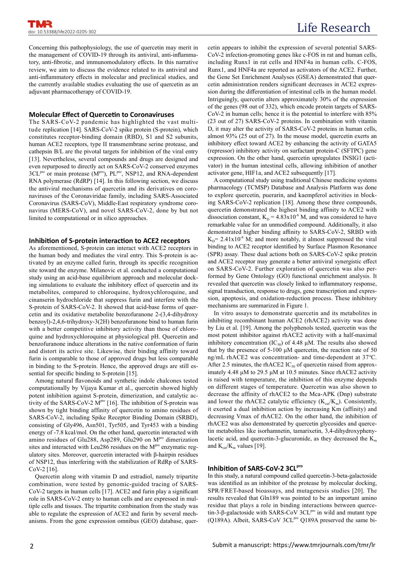Concerning this pathophysiology, the use of quercetin may merit in the management of COVID-19 through its antiviral, anti-inflammatory, anti-fibrotic, and immunomodulatory effects. In this narrative review, we aim to discuss the evidence related to its antiviral and anti-inflammatory effects in molecular and preclinical studies, and the currently available studies evaluating the use of quercetin as an adjuvant pharmacotherapy of COVID-19.

# **Molecular Effect of Quercetin to Coronaviruses**

The SARS-CoV-2 pandemic has highlighted the vast multitude replication [14]. SARS-CoV-2 spike protein (S-protein), which constitutes receptor-binding domain (RBD), S1 and S2 subunits, human ACE2 receptors, type II transmembrane serine protease, and cathepsin B/L are the pivotal targets for inhibition of the viral entry [13]. Nevertheless, several compounds and drugs are designed and even repurposed to directly act on SARS-CoV-2 conserved enzymes  $3CL^{pro}$  or main protease  $(M^{pro})$ ,  $PL^{pro}$ , NSP12, and RNA-dependent RNA polymerase (RdRP) [14]. In this following section, we discuss the antiviral mechanisms of quercetin and its derivatives on coronaviruses of the Coronaviridae family, including SARS-Associated Coronavirus (SARS-CoV), Middle-East respiratory syndrome coronavirus (MERS-CoV), and novel SARS-CoV-2, done by but not limited to computational or in silico approaches.

## **Inhibition of S-protein interaction to ACE2 receptors**

As aforementioned, S-protein can interact with ACE2 receptors in the human body and mediates the viral entry. This S-protein is activated by an enzyme called furin, through its specific recognition site toward the enzyme. Milanovic et al. conducted a computational study using an acid-base equilibrium approach and molecular docking simulations to evaluate the inhibitory effect of quercetin and its metabolites, compared to chloroquine, hydroxychloroquine, and cinanserin hydrochloride that suppress furin and interfere with the S-protein of SARS-CoV-2. It showed that acid-base forms of quercetin and its oxidative metabolite benzofuranone 2-(3,4-dihydroxy benzoyl)-2,4,6-trihydroxy-3(2H) benzofuranone bind to human furin with a better competitive inhibitory activity than those of chloroquine and hydroxychloroquine at physiological pH. Quercetin and benzofuranone induce alterations in the native conformation of furin and distort its active site. Likewise, their binding affinity toward furin is comparable to those of approved drugs but less comparable in binding to the S-protein. Hence, the approved drugs are still essential for specific binding to S-protein [15].

Among natural flavonoids and synthetic indole chalcones tested computationally by Vijaya Kumar et al., quercetin showed highly potent inhibition against S-protein, dimerization, and catalytic activity of the SARS-CoV-2 M<sup>pro</sup> [16]. The inhibition of S-protein was shown by tight binding affinity of quercetin to amino residues of SARS-CoV-2, including Spike Receptor Binding Domain (SRBD), consisting of Gly496, Asn501, Tyr505, and Tyr453 with a binding energy of -7.8 kcal/mol. On the other hand, quercetin interacted with amino residues of Glu288, Asp289, Glu290 on M<sup>pro</sup> dimerization sites and interacted with Leu286 residues on the M<sup>pro</sup> enzymatic regulatory sites. Moreover, quercetin interacted with β-hairpin residues of NSP12, thus interfering with the stabilization of RdRp of SARS- $CoV-2$  [16].

Quercetin along with vitamin D and estradiol, namely tripartite combination, were tested by genomic-guided tracing of SARS- $CoV-2$  targets in human cells [17].  $ACE2$  and furin play a significant role in SARS-CoV-2 entry to human cells and are expressed in multiple cells and tissues. The tripartite combination from the study was able to regulate the expression of ACE2 and furin by several mechanisms. From the gene expression omnibus (GEO) database, quercetin appears to inhibit the expression of several potential SARS-CoV-2 infection-promoting genes like c-FOS in rat and human cells, including Runx1 in rat cells and HNF4a in human cells. C-FOS, Runx1, and HNF4a are reported as activators of the ACE2. Further, the Gene Set Enrichment Analyses (GSEA) demonstrated that quercetin administration renders significant decreases in ACE2 expression during the differentiation of intestinal cells in the human model. Intriguingly, quercetin alters approximately 30% of the expression of the genes (98 out of 332), which encode protein targets of SARS-CoV-2 in human cells; hence it is the potential to interfere with 85% (23 out of 27) SARS-CoV-2 proteins. In combination with vitamin D, it may alter the activity of SARS-CoV-2 proteins in human cells, almost 93% (25 out of 27). In the mouse model, quercetin exerts an inhibitory effect toward ACE2 by enhancing the activity of GATA5 (repressor) inhibitory activity on surfactant protein-C (SFTPC) gene expression. On the other hand, quercetin upregulates INSIG1 (activator) in the human intestinal cells, allowing inhibition of another activator gene, HIF1a, and ACE2 subsequently [17].

A computational study using traditional Chinese medicine systems pharmacology (TCMSP) Database and Analysis Platform was done to explore quercetin, puerarin, and kaempferol activities in blocking SARS-CoV-2 replication [18]. Among these three compounds, quercetin demonstrated the highest binding affinity to ACE2 with dissociation constant,  $K_D = 4.83 \times 10^{-6}$  M, and was considered to have remarkable value for an unmodified compound. Additionally, it also demonstrated higher binding affinity to SARS-CoV-2, SRBD with  $K_p$  = 2.41x10<sup>-8</sup> M; and more notably, it almost suppressed the viral binding to ACE2 receptor identified by Surface Plasmon Resonance (SPR) assay. These dual actions both on SARS-CoV-2 spike protein and ACE2 receptor may generate a better antiviral synergistic effect on SARS-CoV-2. Further exploration of quercetin was also performed by Gene Ontology (GO) functional enrichment analysis. It revealed that quercetin was closely linked to inflammatory response, signal transduction, response to drugs, gene transcription and expression, apoptosis, and oxidation-reduction process. These inhibitory mechanisms are summarized in Figure 1.

In vitro assays to demonstrate quercetin and its metabolites in inhibiting recombinant human ACE2 (rhACE2) activity was done by Liu et al. [19]. Among the polyphenols tested, quercetin was the most potent inhibitor against rhACE2 activity with a half-maximal inhibitory concentration (IC<sub>50</sub>) of 4.48 μM. The results also showed that by the presence of 5-100 μM quercetin, the reaction rate of 50 ng/mL rhACE2 was concentration- and time-dependent at 37℃. After 2.5 minutes, the rhACE2  $IC_{50}$  of quercetin raised from approximately 4.48 μM to 29.5 μM at 10.5 minutes. Since rhACE2 activity is raised with temperature, the inhibition of this enzyme depends on different stages of temperature. Quercetin was also shown to decrease the affinity of rhACE2 to the Mca-APK (Dnp) substrate and lower the rhACE2 catalytic efficiency  $(K_{car}/K_m)$ . Consistently, it exerted a dual inhibition action by increasing Km (affinity) and decreasing Vmax of rhACE2. On the other hand, the inhibition of rhACE2 was also demonstrated by quercetin glycosides and quercetin metabolites like isorhamnetin, tamarixetin, 3,4-dihydroxyphenylacetic acid, and quercetin-3-glucuronide, as they decreased the  $K<sub>m</sub>$ and  $K_{\text{cat}}/K_{\text{m}}$  values [19].

# **Inhibition of SARS-CoV-2 3CLPro**

In this study, a natural compound called quercetin-3-beta-galactoside was identified as an inhibitor of the protease by molecular docking, SPR/FRET-based bioassays, and mutagenesis studies [20]. The results revealed that Gln189 was pointed to be an important amino residue that plays a role in binding interactions between quercetin-3-β-galactoside with SARS-CoV 3CL<sup>pro</sup> in wild and mutant type (Q189A). Albeit, SARS-CoV 3CL<sup>pro</sup> Q189A preserved the same bi-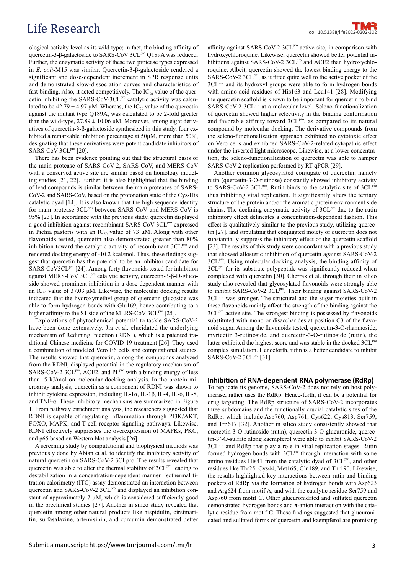doi: 10.53388/life2022

ological activity level as its wild type; in fact, the binding affinity of quercetin-3-β-galactoside to SARS-CoV 3CL<sup>pro</sup> Q189A was reduced. Further, the enzymatic activity of these two protease types expressed in *E. coli*-M15 was similar. Quercetin-3-β-galactoside rendered a significant and dose-dependent increment in SPR response units and demonstrated slow-dissociation curves and characteristics of fast-binding. Also, it acted competitively. The  $IC_{50}$  value of the quercetin inhibiting the SARS-CoV-3CL<sup>pro</sup> catalytic activity was calculated to be  $42.79 \pm 4.97$  μM. Whereas, the IC<sub>50</sub> value of the quercetin against the mutant type Q189A, was calculated to be 2-fold greater than the wild-type,  $27.89 \pm 10.06$   $\mu$ M. Moreover, among eight derivatives of quercetin-3-β-galactoside synthesized in this study, four exhibited a remarkable inhibition percentage at 50μM, more than 50%, designating that these derivatives were potent candidate inhibitors of SARS-CoV-3CL $P^{\text{ro}}$  [20].

There has been evidence pointing out that the structural basis of the main protease of SARS-CoV-2, SARS-CoV, and MERS-CoV with a conserved active site are similar based on homology modeling studies [21, 22]. Further, it is also highlighted that the binding of lead compounds is similar between the main proteases of SARS-CoV-2 and SARS-CoV, based on the protonation state of the Cys-His catalytic dyad [14]. It is also known that the high sequence identity for main protease 3CL<sup>pro</sup> between SARS-CoV and MERS-CoV is 95% [23]. In accordance with the previous study, quercetin displayed a good inhibition against recombinant SARS-CoV 3CL<sup>pro</sup> expressed in Pichia pastoris with an  $IC_{50}$  value of 73  $\mu$ M. Along with other flavonoids tested, quercetin also demonstrated greater than 80% inhibition toward the catalytic activity of recombinant 3CL<sup>pro</sup> and rendered docking energy of -10.2 kcal/mol. Thus, these findings suggest that quercetin has the potential to be an inhibitor candidate for SARS-CoV3CL<sup>pro</sup> [24]. Among forty flavonoids tested for inhibition against MERS-CoV 3CL<sup>pro</sup> catalytic activity, quercetin-3-β-D-glucoside showed prominent inhibition in a dose-dependent manner with an IC<sub>50</sub> value of 37.03 μM. Likewise, the molecular docking results indicated that the hydroxymethyl group of quercetin glucoside was able to form hydrogen bonds with Glu169, hence contributing to a higher affinity to the S1 side of the MERS-CoV  $3CL^{pro}$  [25].

Explorations of phytochemical potential to tackle SARS-CoV-2 have been done extensively. Jia et al. elucidated the underlying mechanism of Reduning Injection (RDNI), which is a patented traditional Chinese medicine for COVID-19 treatment [26]. They used a combination of modeled Vero E6 cells and computational studies. The results showed that quercetin, among the compounds analyzed from the RDNI, displayed potential in the regulatory mechanism of SARS-CoV-2 3CL<sup>pro</sup>, ACE2, and PL<sup>pro</sup> with a binding energy of less than -5 kJ/mol on molecular docking analysis. In the protein microarray analysis, quercetin as a component of RDNI was shown to inhibit cytokine expression, including IL-1α, IL-1β, IL-4, IL-6, IL-8, and TNF-α. These inhibitory mechanisms are summarized in Figure 1. From pathway enrichment analysis, the researchers suggested that RDNI is capable of regulating inflammation through PI3K/AKT, FOXO, MAPK, and T cell receptor signaling pathways. Likewise, RDNI effectively suppresses the overexpression of MAPKs, PKC, and p65 based on Western blot analysis [26].

A screening study by computational and biophysical methods was previously done by Abian et al. to identify the inhibitory activity of natural quercetin on SARS-CoV-2 3CLpro. The results revealed that quercetin was able to alter the thermal stability of  $3CL<sup>pro</sup>$  leading to destabilization in a concentration-dependent manner. Isothermal titration calorimetry (ITC) assay demonstrated an interaction between quercetin and SARS-CoV-2 3CL<sup>pro</sup> and displayed an inhibition constant of approximately  $7 \mu M$ , which is considered sufficiently good in the preclinical studies [27]. Another in silico study revealed that quercetin among other natural products like hispidulin, cirsimaritin, sulfasalazine, artemisinin, and curcumin demonstrated better

affinity against SARS-CoV-2  $3CL^{pro}$  active site, in comparison with hydroxychloroquine. Likewise, quercetin showed better potential inhibitions against SARS-CoV-2 3CLPro and ACE2 than hydroxychloroquine. Albeit, quercetin showed the lowest binding energy to the SARS-CoV-2 3CL<sup>pro</sup>, as it fitted quite well to the active pocket of the 3CL<sup>pro</sup> and its hydroxyl groups were able to form hydrogen bonds with amino acid residues of His163 and Leu141 [28]. Modifying the quercetin scaffold is known to be important for quercetin to bind SARS-CoV-2 3CL<sup>pro</sup> at a molecular level. Seleno-functionalization of quercetin showed higher selectivity in the binding conformation and favorable affinity toward 3CLpro, as compared to its natural compound by molecular docking. The derivative compounds from the seleno-functionalization approach exhibited no cytotoxic effect on Vero cells and exhibited SARS-CoV-2-related cytopathic effect under the inverted light microscope. Likewise, at a lower concentration, the seleno-functionalization of quercetin was able to hamper SARS-CoV-2 replication performed by RT-qPCR [29].

Another common glycosylated conjugate of quercetin, namely rutin (quercetin-3-O-rutinose) constantly showed inhibitory activity to SARS-CoV-2 3CL<sup>pro</sup>. Rutin binds to the catalytic site of 3CL<sup>pro</sup> thus inhibiting viral replication. It significantly alters the tertiary structure of the protein and/or the aromatic protein environment side chains. The declining enzymatic activity of 3CL<sup>pro</sup> due to the rutin inhibitory effect delineates a concentration-dependent fashion. This effect is qualitatively similar to the previous study, utilizing quercetin [27], and stipulating that conjugated moiety of quercetin does not substantially suppress the inhibitory effect of the quercetin scaffold [23]. The results of this study were concordant with a previous study that showed allosteric inhibition of quercetin against SARS-CoV-2 3CL<sup>pro</sup>. Using molecular docking analysis, the binding affinity of  $3CL<sup>pro</sup>$  for its substrate polypeptide was significantly reduced when complexed with quercetin [30]. Cherrak et al. through their in silico study also revealed that glycosylated flavonoids were strongly able to inhibit SARS-CoV-2 3CL<sup>pro</sup>. Their binding against SARS-CoV-2 3CL<sup>pro</sup> was stronger. The structural and the sugar moieties built in these flavonoids mainly affect the strength of the binding against the  $3CL<sup>pro</sup>$  active site. The strongest binding is possessed by flavonoids substituted with mono or disaccharides at position C3 of the flavonoid sugar. Among the flavonoids tested, quercetin-3-O-rhamnoside, myricetin 3-rutinoside, and quercetin-3-O-rutinoside (rutin), the latter exhibited the highest score and was stable in the docked 3CL<sup>pro</sup> complex simulation. Henceforth, rutin is a better candidate to inhibit SARS-CoV-2 3CL<sup>pro</sup> [31].

## **Inhibition of RNA-dependent RNA polymerase (RdRp)**

To replicate its genome, SARS-CoV-2 does not rely on host polymerase, rather uses the RdRp. Hence-forth, it can be a potential for drug targeting. The RdRp structure of SARS-CoV-2 incorporates three subdomains and the functionally crucial catalytic sites of the RdRp, which include Asp760, Asp761, Cys622, Cys813, Ser759, and Trp617 [32]. Another in silico study consistently showed that quercetin-3-O-rutinoside (rutin), quercetin-3-O-glucuronide, quercetin-3'-O-sulfate along kaempferol were able to inhibit SARS-CoV-2  $3CL<sup>pro</sup>$  and RdRp that play a role in viral replication stages. Rutin formed hydrogen bonds with  $3CL<sub>pro</sub>$  through interaction with some amino residues His41 from the catalytic dyad of 3CL<sup>pro</sup>, and other residues like Thr25, Cys44, Met165, Gln189, and Thr190. Likewise, the results highlighted key interactions between rutin and binding pockets of RdRp via the formation of hydrogen bonds with Asp623 and Arg624 from motif A, and with the catalytic residue Ser759 and Asp760 from motif C. Other glucuronidated and sulfated quercetin demonstrated hydrogen bonds and  $\pi$ -anion interaction with the catalytic residue from motif C. These findings suggested that glucuronidated and sulfated forms of quercetin and kaempferol are promising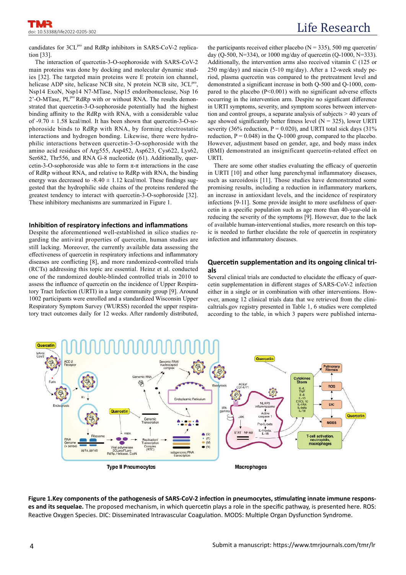candidates for 3CL<sup>pro</sup> and RdRp inhibitors in SARS-CoV-2 replication [33].

The interaction of quercetin-3-O-sophoroside with SARS-CoV-2 main proteins was done by docking and molecular dynamic studies [32]. The targeted main proteins were E protein ion channel, helicase ADP site, helicase NCB site, N protein NCB site,  $3CL^{pro}$ Nsp14 ExoN, Nsp14 N7-MTase, Nsp15 endoribonuclease, Nsp 16 2'-O-MTase, PL<sup>pro</sup> RdRp with or without RNA. The results demonstrated that quercetin-3-O-sophoroside potentially had the highest binding affinity to the RdRp with RNA, with a considerable value of  $-9.70 \pm 1.58$  kcal/mol. It has been shown that quercetin-3-O-sophoroside binds to RdRp with RNA, by forming electrostatic interactions and hydrogen bonding. Likewise, there were hydrophilic interactions between quercetin-3-O-sophoroside with the amino acid residues of Arg555, Asp452, Asp623, Cys622, Lys62, Ser682, Thr556, and RNA G-8 nucleotide (61). Additionally, quercetin-3-O-sophoroside was able to form  $\pi$ - $\pi$  interactions in the case of RdRp without RNA, and relative to RdRp with RNA, the binding energy was decreased to  $-8.40 \pm 1.12$  kcal/mol. These findings suggested that the hydrophilic side chains of the proteins rendered the greatest tendency to interact with quercetin-3-O-sophoroside [32]. These inhibitory mechanisms are summarized in Figure 1.

# **Inhibition of respiratory infections and inflammations**

Despite the aforementioned well-established in silico studies regarding the antiviral properties of quercetin, human studies are still lacking. Moreover, the currently available data assessing the effectiveness of quercetin in respiratory infections and inflammatory diseases are conflicting [8], and more randomized-controlled trials (RCTs) addressing this topic are essential. Heinz et al. conducted one of the randomized double-blinded controlled trials in 2010 to assess the influence of quercetin on the incidence of Upper Respiratory Tract Infection (URTI) in a large community group [9]. Around 1002 participants were enrolled and a standardized Wisconsin Upper Respiratory Symptom Survey (WURSS) recorded the upper respiratory tract outcomes daily for 12 weeks. After randomly distributed,

the participants received either placebo ( $N = 335$ ), 500 mg quercetin/ day (Q-500, N=334), or 1000 mg/day of quercetin (Q-1000, N=333). Additionally, the intervention arms also received vitamin C (125 or 250 mg/day) and niacin (5-10 mg/day). After a 12-week study period, plasma quercetin was compared to the pretreatment level and demonstrated a significant increase in both Q-500 and Q-1000, compared to the placebo  $(P<0.001)$  with no significant adverse effects occurring in the intervention arm. Despite no significant difference in URTI symptoms, severity, and symptom scores between intervention and control groups, a separate analysis of subjects > 40 years of age showed significantly better fitness level ( $N = 325$ ), lower URTI severity (36% reduction,  $P = 0.020$ ), and URTI total sick days (31%) reduction,  $P = 0.048$ ) in the Q-1000 group, compared to the placebo. However, adjustment based on gender, age, and body mass index (BMI) demonstrated an insignificant quercetin-related effect on URTI.

There are some other studies evaluating the efficacy of quercetin in URTI [10] and other lung parenchymal inflammatory diseases, such as sarcoidosis [11]. Those studies have demonstrated some promising results, including a reduction in inflammatory markers, an increase in antioxidant levels, and the incidence of respiratory infections [9-11]. Some provide insight to more usefulness of quercetin in a specific population such as age more than 40-year-old in reducing the severity of the symptoms [9]. However, due to the lack of available human-interventional studies, more research on this topic is needed to further elucidate the role of quercetin in respiratory infection and inflammatory diseases.

# **Quercetin supplementation and its ongoing clinical trials**

Several clinical trials are conducted to elucidate the efficacy of quercetin supplementation in different stages of SARS-CoV-2 infection either in a single or in combination with other interventions. However, among 12 clinical trials data that we retrieved from the clinicaltrials.gov registry presented in Table 1, 6 studies were completed according to the table, in which 3 papers were published interna-



Figure 1. Key components of the pathogenesis of SARS-CoV-2 infection in pneumocytes, stimulating innate immune responses and its sequelae. The proposed mechanism, in which quercetin plays a role in the specific pathway, is presented here. ROS: Reactive Oxygen Species. DIC: Disseminated Intravascular Coagulation. MODS: Multiple Organ Dysfunction Syndrome.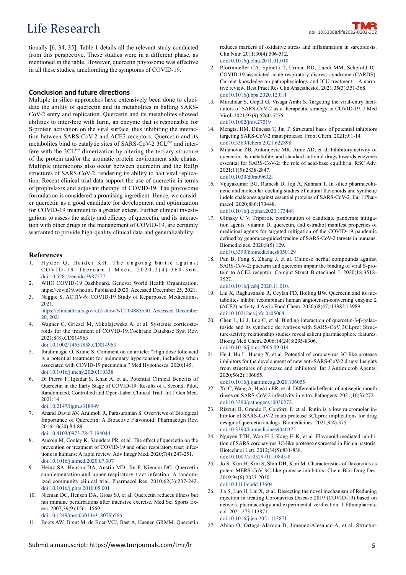# Life Research

tionally [6, 34, 35]. Table 1 details all the relevant study conducted from this perspective. These studies were in a different phase, as mentioned in the table. However, quercetin phytosome was effective in all these studies, ameliorating the symptoms of COVID-19.

# **Conclusion and future directions**

Multiple in silico approaches have extensively been done to elucidate the ability of quercetin and its metabolites in halting SARS-CoV-2 entry and replication. Quercetin and its metabolites showed abilities to inter-fere with furin, an enzyme that is responsible for S-protein activation on the viral surface, thus inhibiting the interaction between SARS-CoV-2 and ACE2 receptors. Quercetin and its metabolites bind to catalytic sites of SARS-CoV-2 3CL<sup>pro</sup> and interfere with the  $3CL<sup>pro</sup>$  dimerization by altering the tertiary structure of the protein and/or the aromatic protein environment side chains. Multiple interactions also occur between quercetin and the RdRp structures of SARS-CoV-2, rendering its ability to halt viral replication. Recent clinical trial data support the use of quercetin in terms of prophylaxis and adjuvant therapy of COVID-19. The phytosome formulation is considered a promising ingredient. Hence, we consider quercetin as a good candidate for development and optimization for COVID-19 treatment to a greater extent. Further clinical investigations to assess the safety and efficacy of quercetin, and its interaction with other drugs in the management of COVID-19, are certainly warranted to provide high-quality clinical data and generalizability.

#### **References**

- 1. Hyder Q, Haider KH. The ongoing battle against  $CO VID-19$ . Iberoam J Mxed.  $2020;2(4):360-366$ . doi:10.5281/zenodo.3987277
- 2. WHO COVID-19 Dashboard. Geneva: World Health Organization. https://covid19.who.int. Published 2020. Accessed December 25, 2021.
- 3. Naggie S. ACTIV-6: COVID-19 Study of Repurposed Medications. 2021. https://clinicaltrials.gov/ct2/show/NCT04885530. Accessed December

20, 2021.

- 4. Wagner C, Griesel M, Mikolajewska A, et al. Systemic corticosteroids for the treatment of COVID-19.Cochrane Database Syst Rev. 2021;8(8).CD014963 doi:10.1002/14651858.CD014963
- 5. Ibrahimagic O, Kunic S. Comment on an article: "High dose folic acid is a potential treatment for pulmonary hypertension, including when associated with COVID-19 pneumonia." Med Hypotheses. 2020;145. doi:10.1016/j.mehy.2020.110338
- 6. Di Pierro F, Iqtadar S, Khan A, et al. Potential Clinical Benefits of Quercetin in the Early Stage of COVID-19: Results of a Second, Pilot, Randomized, Controlled and Open-Label Clinical Trial. Int J Gen Med. 2021;14 doi:10.2147/ijgm.s318949
- 7. Anand David AV, Arulmoli R, Parasuraman S. Overviews of Biological Importance of Quercetin: A Bioactive Flavonoid. Pharmacogn Rev. 2016;10(20):84-89. doi:10.4103/0973-7847.194044
- Aucoin M, Cooley K, Saunders PR, et al. The effect of quercetin on the prevention or treatment of COVID-19 and other respiratory tract infections in humans: A rapid review. Adv Integr Med. 2020;7(4):247-251. doi:10.1016/j.aimed.2020.07.007
- 9. Heinz SA, Henson DA, Austin MD, Jin F, Nieman DC. Quercetin supplementation and upper respiratory tract infection: A randomized community clinical trial. Pharmacol Res. 2010;62(3):237-242. doi:10.1016/j.phrs.2010.05.001
- 10. Nieman DC, Henson DA, Gross SJ, et al. Quercetin reduces illness but not immune perturbations after intensive exercise. Med Sci Sports Exerc. 2007;39(9):1561-1569. doi:10.1249/mss.0b013e318076b566
- 11. Boots AW, Drent M, de Boer VCJ, Bast A, Haenen GRMM. Quercetin

reduces markers of oxidative stress and inflammation in sarcoidosis. Clin Nutr. 2011;30(4):506-512. doi:10.1016/j.clnu.2011.01.010

- 12. Pfortmueller CA, Spinetti T, Urman RD, Luedi MM, Schefold JC. COVID-19-associated acute respiratory distress syndrome (CARDS): Current knowledge on pathophysiology and ICU treatment – A narrative review. Best Pract Res Clin Anaesthesiol. 2021;35(3):351-368. doi:10.1016/j.bpa.2020.12.011
- 13. Muralidar S, Gopal G, Visaga Ambi S. Targeting the viral‐entry facilitators of SARS‐CoV‐2 as a therapeutic strategy in COVID‐19. J Med Virol. 2021;93(9):5260-5276 doi:10.1002/jmv.27019
- 14. Mengist HM, Dilnessa T, Jin T. Structural basis of potential inhibitors targeting SARS-CoV-2 main protease. Front Chem. 2021;9:1-14 doi:10.3389/fchem.2021.622898
- 15. Milanovic ZB, Antonijevic MR, Amic AD, et al. Inhibitory activity of quercetin, its metabolite, and standard antiviral drugs towards enzymes essential for SARS-CoV-2: the role of acid-base equilibria. RSC Adv. 2021;11(5):2838-2847. doi:10.1039/d0ra09632f
- 16. Vijayakumar BG, Ramesh D, Joji A, Kannan T. In silico pharmacokinetic and molecular docking studies of natural flavonoids and synthetic indole chalcones against essential proteins of SARS-CoV-2. Eur J Pharmacol. 2020;886:173448. doi:10.1016/j.ejphar.2020.173448
- Glinsky G V. Tripartite combination of candidate pandemic mitigation agents: vitamin D, quercetin, and estradiol manifest properties of medicinal agents for targeted mitigation of the COVID-19 pandemic defined by genomics-guided tracing of SARS-CoV-2 targets in humans. Biomedicines. 2020;8(5):129. doi:10.3390/biomedicines8050129
- 18. Pan B, Fang S, Zhang J, et al. Chinese herbal compounds against SARS-CoV-2: puerarin and quercetin impair the binding of viral S-protein to ACE2 receptor. Comput Struct Biotechnol J. 2020;18:3518- 3527.

doi:10.1016/j.csbj.2020.11.010.

- Liu X, Raghuvanshi R, Ceylan FD, Bolling BW. Quercetin and its metabolites inhibit recombinant human angiotensin-converting enzyme 2 (ACE2) activity. J Agric Food Chem. 2020;68(47):13982-13989. doi:10.1021/acs.jafc.0c05064.
- 20. Chen L, Li J, Luo C, et al. Binding interaction of quercetin-3-β-galactoside and its synthetic derivatives with SARS-CoV 3CLpro: Structure-activity relationship studies reveal salient pharmacophore features. Bioorg Med Chem. 2006;14(24):8295-8306. doi:10.1016/j.bmc.2006.09.014
- 21. He J, Hu L, Huang X, et al. Potential of coronavirus 3C-like protease inhibitors for the development of new anti-SARS-CoV-2 drugs: Insights from structures of protease and inhibitors. Int J Antimicrob Agents. 2020;56(2):106055.

doi:10.1016/j.ijantimicag.2020.106055

- 22. Xu C, Wang A, Hoskin ER, et al. Differential effects of antiseptic mouth rinses on SARS-CoV-2 infectivity in vitro. Pathogens. 2021;10(3):272. doi:10.3390/pathogens10030272.
- Rizzuti B, Grande F, Conforti F, et al. Rutin is a low micromolar inhibitor of SARS-CoV-2 main protease 3CLpro: implications for drug design of quercetin analogs. Biomedicines. 2021;9(4):375. doi:10.3390/biomedicines9040375
- 24. Nguyen TTH, Woo H-J, Kang H-K, et al. Flavonoid-mediated inhibition of SARS coronavirus 3C-like protease expressed in Pichia pastoris. Biotechnol Lett. 2012;34(5):831-838. doi:10.1007/s10529-011-0845-8
- 25. Jo S, Kim H, Kim S, Shin DH, Kim M. Characteristics of flavonoids as potent MERS‐CoV 3C‐like protease inhibitors. Chem Biol Drug Des. 2019;94(6):2023-2030. doi:10.1111/cbdd.13604
- 26. Jia S, Luo H, Liu X, et al. Dissecting the novel mechanism of Reduning injection in treating Coronavirus Disease 2019 (COVID-19) based on network pharmacology and experimental verification. J Ethnopharmacol. 2021;273:113871. doi:10.1016/j.jep.2021.113871
- 27. Abian O, Ortega-Alarcon D, Jimenez-Alesanco A, et al. Structur-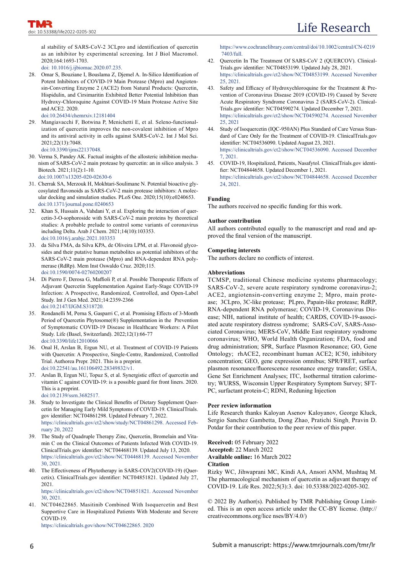al stability of SARS-CoV-2 3CLpro and identification of quercetin as an inhibitor by experimental screening. Int J Biol Macromol. 2020;164:1693-1703.

doi: 10.1016/j.ijbiomac.2020.07.235.

- 28. Omar S, Bouziane I, Bouslama Z, Djemel A. In-Silico Identification of Potent Inhibitors of COVID-19 Main Protease (Mpro) and Angiotensin-Converting Enzyme 2 (ACE2) from Natural Products: Quercetin, Hispidulin, and Cirsimaritin Exhibited Better Potential Inhibition than Hydroxy-Chloroquine Against COVID-19 Main Protease Active Site and ACE2. 2020. doi:10.26434/chemrxiv.12181404
- 29. Mangiavacchi F, Botwina P, Menichetti E, et al. Seleno-functionalization of quercetin improves the non-covalent inhibition of Mpro and its antiviral activity in cells against SARS-CoV-2. Int J Mol Sci. 2021;22(13):7048.
	- doi:10.3390/ijms22137048.
- 30. Verma S, Pandey AK. Factual insights of the allosteric inhibition mechanism of SARS-CoV-2 main protease by quercetin: an in silico analysis. 3 Biotech. 2021;11(2):1-10. doi :10.1007/s13205-020-02630-6
- 31. Cherrak SA, Merzouk H, Mokhtari-Soulimane N. Potential bioactive glycosylated flavonoids as SARS-CoV-2 main protease inhibitors: A molecular docking and simulation studies. PLoS One. 2020;15(10):e0240653. doi:10.1371/journal.pone.0240653
- 32. Khan S, Hussain A, Vahdani Y, et al. Exploring the interaction of quercetin-3-O-sophoroside with SARS-CoV-2 main proteins by theoretical studies: A probable prelude to control some variants of coronavirus including Delta. Arab J Chem. 2021;14(10):103353. doi:10.1016/j.arabjc.2021.103353
- 33. da Silva FMA, da Silva KPA, de Oliveira LPM, et al. Flavonoid glycosides and their putative human metabolites as potential inhibitors of the SARS-CoV-2 main protease (Mpro) and RNA-dependent RNA polymerase (RdRp). Mem Inst Oswaldo Cruz. 2020;115. doi:10.1590/0074-02760200207
- 34. Di Pierro F, Derosa G, Maffioli P, et al. Possible Therapeutic Effects of Adjuvant Quercetin Supplementation Against Early-Stage COVID-19 Infection: A Prospective, Randomized, Controlled, and Open-Label Study. Int J Gen Med. 2021;14:2359-2366 doi:10.2147/IJGM.S318720.
- 35. Rondanelli M, Perna S, Gasparri C, et al. Promising Effects of 3-Month Period of Quercetin Phytosome(®) Supplementation in the Prevention of Symptomatic COVID-19 Disease in Healthcare Workers: A Pilot Study. Life (Basel, Switzerland). 2022;12(1):66-77 doi:10.3390/life12010066
- 36. Onal H, Arslan B, Ergun NU, et al. Treatment of COVID-19 Patients with Quercetin: A Prospective, Single-Centre, Randomized, Controlled Trial. Authorea Prepr. 2021. This is a preprint. doi:10.22541/au.161106492.28349832/v1.
- 37. Arslan B, Ergun NU, Topuz S, et al. Synergistic effect of quercetin and vitamin C against COVID-19: is a possible guard for front liners. 2020. This is a preprint. doi:10.2139/ssrn.3682517.
- Study to Investigate the Clinical Benefits of Dietary Supplement Quercetin for Managing Early Mild Symptoms of COVID-19. ClinicalTrials. gov identifier: NCT04861298. Updated February 7, 2022. https://clinicaltrials.gov/ct2/show/study/NCT04861298. Accessed February 20, 2022
- 39. The Study of Quadruple Therapy Zinc, Quercetin, Bromelain and Vitamin C on the Clinical Outcomes of Patients Infected With COVID-19. ClinicalTrials.gov identifier: NCT04468139. Updated July 13, 2020. https://clinicaltrials.gov/ct2/show/NCT04468139. Accessed November 30, 2021.
- 40. The Effectiveness of Phytotherapy in SARS-COV2(COVID-19) (Quercetix). ClinicalTrials.gov identifier: NCT04851821. Updated July 27, 2021.

https://clinicaltrials.gov/ct2/show/NCT04851821. Accessed November 30, 2021.

41. NCT04622865. Masitinib Combined With Isoquercetin and Best Supportive Care in Hospitalized Patients With Moderate and Severe COVID-19.

https://clinicaltrials.gov/show/NCT04622865. 2020

https://www.cochranelibrary.com/central/doi/10.1002/central/CN-0219 7403/full.

- 42. Quercetin In The Treatment Of SARS-CoV 2 (QUERCOV). Clinical-Trials.gov identifier: NCT04853199. Updated July 28, 2021. https://clinicaltrials.gov/ct2/show/NCT04853199. Accessed November 25, 2021.
- 43. Safety and Efficacy of Hydroxychloroquine for the Treatment & Prevention of Coronavirus Disease 2019 (COVID-19) Caused by Severe Acute Respiratory Syndrome Coronavirus 2 (SARS-CoV-2). Clinical-Trials.gov identifier: NCT04590274. Updated December 7, 2021. https://clinicaltrials.gov/ct2/show/NCT04590274. Accessed November 25, 2021
- 44. Study of Isoquercetin (IQC-950AN) Plus Standard of Care Versus Standard of Care Only for the Treatment of COVID-19. ClinicalTrials.gov identifier: NCT04536090. Updated August 23, 2021. https://clinicaltrials.gov/ct2/show/NCT04536090. Accessed December 7, 2021.
- 45. COVID-19, Hospitalized, Patients, Nasafytol. ClinicalTrials.gov identifier: NCT04844658. Updated December 1, 2021. https://clinicaltrials.gov/ct2/show/NCT04844658. Accessed December 24, 2021.

# **Funding**

The authors received no specific funding for this work.

## **Author contribution**

All authors contributed equally to the manuscript and read and approved the final version of the manuscript.

## **Competing interests**

The authors declare no conflicts of interest.

## **Abbreviations**

TCMSP, traditional Chinese medicine systems pharmacology; SARS-CoV-2, severe acute respiratory syndrome coronavirus-2; ACE2, angiotensin-converting enzyme 2; Mpro, main protease; 3CLpro, 3C-like protease; PLpro, Papain-like protease; RdRP, RNA-dependent RNA polymerase; COVID-19, Coronavirus Disease; NIH, national institute of health; CARDS, COVID-19-associated acute respiratory distress syndrome; SARS-CoV, SARS-Associated Coronavirus; MERS-CoV, Middle East respiratory syndrome coronavirus; WHO, World Health Organization; FDA, food and drug administration; SPR, Surface Plasmon Resonance; GO, Gene Ontology; rhACE2, recombinant human ACE2; IC50, inhibitory concentration; GEO, gene expression omnibus; SPR/FRET, surface plasmon resonance/fluorescence resonance energy transfer; GSEA, Gene Set Enrichment Analyses; ITC, Isothermal titration calorimetry; WURSS, Wisconsin Upper Respiratory Symptom Survey; SFT-PC, surfactant protein-C; RDNI, Reduning Injection

## **Peer review information**

Life Research thanks Kaloyan Asenov Kaloyanov, George Kluck, Sergio Sanchez Gambetta, Dong Zhao, Pratichi Singh, Pravin D. Potdar for their contribution to the peer review of this paper.

**Received:** 05 February 2022 **Accepted:** 22 March 2022 **Available online:** 16 March 2022 **Citation**

Rizky WC, Jihwaprani MC, Kindi AA, Ansori ANM, Mushtaq M. The pharmacological mechanism of quercetin as adjuvant therapy of COVID-19. Life Res. 2022;5(3):3. doi: 10.53388/2022-0205-302.

© 2022 By Author(s). Published by TMR Publishing Group Limited. This is an open access article under the CC-BY license. (http:// creativecommons.org/lice nses/BY/4.0/)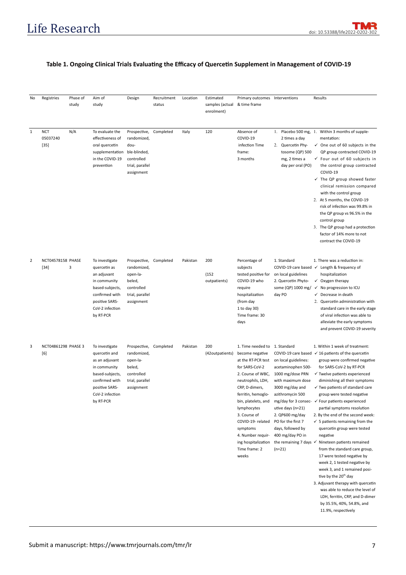# Table 1. Ongoing Clinical Trials Evaluating the Efficacy of Quercetin Supplement in Management of COVID-19

| No             | Registries                         | Phase of<br>study | Aim of<br>study                                                                                                                                          | Design                                                                                           | Recruitment<br>status | Location | Estimated<br>samples (actual<br>enrolment) | Primary outcomes Interventions<br>& time frame                                                                                                                                                                                                                                                                                          |                                                                                                                                                                                                                                                                                    | Results                                                                                                                                                                                                                                                                                                                                                                                                                                                                                                                                                                                                                                                                                                                                                                                                                                                                                                  |
|----------------|------------------------------------|-------------------|----------------------------------------------------------------------------------------------------------------------------------------------------------|--------------------------------------------------------------------------------------------------|-----------------------|----------|--------------------------------------------|-----------------------------------------------------------------------------------------------------------------------------------------------------------------------------------------------------------------------------------------------------------------------------------------------------------------------------------------|------------------------------------------------------------------------------------------------------------------------------------------------------------------------------------------------------------------------------------------------------------------------------------|----------------------------------------------------------------------------------------------------------------------------------------------------------------------------------------------------------------------------------------------------------------------------------------------------------------------------------------------------------------------------------------------------------------------------------------------------------------------------------------------------------------------------------------------------------------------------------------------------------------------------------------------------------------------------------------------------------------------------------------------------------------------------------------------------------------------------------------------------------------------------------------------------------|
| $\mathbf{1}$   | <b>NCT</b><br>05037240<br>$[35]$   | N/A               | To evaluate the<br>effectiveness of<br>oral quercetin<br>supplementation ble-blinded,<br>in the COVID-19<br>prevention                                   | Prospective,<br>randomized,<br>dou-<br>controlled<br>trial, parallel<br>assignment               | Completed             | Italy    | 120                                        | Absence of<br>COVID-19<br>infection Time<br>frame:<br>3 months                                                                                                                                                                                                                                                                          | 2 times a day<br>2. Quercetin Phy-<br>tosome (QP) 500<br>mg, 2 times a<br>day per oral (PO)                                                                                                                                                                                        | 1. Placebo 500 mg, 1. Within 3 months of supple-<br>mentation:<br>$\checkmark$ One out of 60 subjects in the<br>QP group contracted COVID-19<br>$\checkmark$ Four out of 60 subjects in<br>the control group contracted<br>COVID-19<br>$\checkmark$ The QP group showed faster<br>clinical remission compared<br>with the control group<br>2. At 5 months, the COVID-19<br>risk of infection was 99.8% in<br>the QP group vs 96.5% in the<br>control group<br>3. The QP group had a protection<br>factor of 14% more to not<br>contract the COVID-19                                                                                                                                                                                                                                                                                                                                                     |
| $\overline{2}$ | <b>NCT04578158 PHASE</b><br>$[34]$ | 3                 | To investigate<br>quercetin as<br>an adjuvant<br>in community<br>based-subjects,<br>confirmed with<br>positive SARS-<br>CoV-2 infection<br>by RT-PCR     | Prospective,<br>randomized,<br>open-la-<br>beled,<br>controlled<br>trial, parallel<br>assignment | Completed             | Pakistan | 200<br>(152)<br>outpatients)               | Percentage of<br>subjects<br>tested positive for<br>COVID-19 who<br>require<br>hospitalization<br>(from day<br>1 to day 30)<br>Time frame: 30<br>days                                                                                                                                                                                   | 1. Standard<br>on local guidelines<br>2. Quercetin Phyto-<br>some (QP) 1000 mg/<br>day PO                                                                                                                                                                                          | 1. There was a reduction in:<br>COVID-19 care based ✓ Length & frequency of<br>hospitalization<br>Oxygen therapy<br>✓<br>No progression to ICU<br>$\checkmark$<br>✓ Decrease in death<br>2. Quercetin administration with<br>standard care in the early stage<br>of viral infection was able to<br>alleviate the early symptoms<br>and prevent COVID-19 severity                                                                                                                                                                                                                                                                                                                                                                                                                                                                                                                                         |
| 3              | NCT04861298 PHASE 3<br>[6]         |                   | To investigate<br>quercetin and<br>as an adjuvant<br>in community<br>based-subjects,<br>confirmed with<br>positive SARS-<br>CoV-2 infection<br>by RT-PCR | Prospective,<br>randomized,<br>open-la-<br>beled,<br>controlled<br>trial, parallel<br>assignment | Completed             | Pakistan | 200<br>(42outpatients)                     | 1. Time needed to 1. Standard<br>become negative<br>at the RT-PCR test<br>for SARS-CoV-2<br>2. Course of WBC,<br>neutrophils, LDH,<br>CRP, D-dimers,<br>ferritin, hemoglo-<br>bin, platelets, and<br>lymphocytes<br>3. Course of<br>COVID-19- related<br>symptoms<br>4. Number requir-<br>ing hospitalization<br>Time frame: 2<br>weeks | on local guidelines:<br>acetaminophen 500-<br>1000 mg/dose PRN<br>with maximum dose<br>3000 mg/day and<br>azithromycin 500<br>utive days (n=21)<br>2. QP600 mg/day<br>PO for the first 7<br>days, followed by<br>400 mg/day PO in<br>the remaining 7 days $\checkmark$<br>$(n=21)$ | 1. Within 1 week of treatment:<br>COVID-19 care based $\checkmark$ 16 patients of the quercetin<br>group were confirmed negative<br>for SARS-CoV-2 by RT-PCR<br>$\checkmark$ Twelve patients experienced<br>diminishing all their symptoms<br>$\checkmark$ Two patients of standard care<br>group were tested negative<br>mg/day for 3 consec- ✓ Four patients experienced<br>partial symptoms resolution<br>2. By the end of the second week:<br>$\checkmark$ 5 patients remaining from the<br>quercetin group were tested<br>negative<br>Nineteen patients remained<br>from the standard care group,<br>17 were tested negative by<br>week 2, 1 tested negative by<br>week 3, and 1 remained posi-<br>tive by the 20 <sup>th</sup> day<br>3. Adjuvant therapy with quercetin<br>was able to reduce the level of<br>LDH, ferritin, CRP, and D-dimer<br>by 35.5%, 40%, 54.8%, and<br>11.9%, respectively |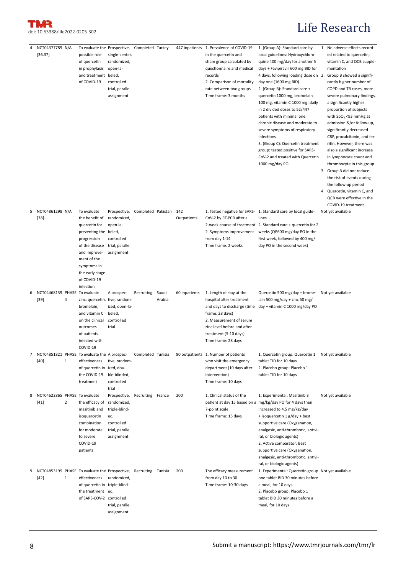T МR doi: 10.53388/life2022-0205-302

# Life Research

| 4 | NCT04377789 N/A<br>[36, 37]                                                 |                | To evaluate the Prospective, Completed Turkey<br>possible role<br>of quercetin<br>in prophylaxis<br>and treatment beled,<br>of COVID-19                                                               | single-center,<br>randomized,<br>open-la-<br>controlled<br>trial, parallel<br>assignment           |                    |                 |                    | 447 inpatients 1. Prevalence of COVID-19<br>in the quercetin and<br>sham group calculated by<br>questionnaire and medical<br>records<br>2. Comparison of mortality<br>rate between two groups<br>Time frame: 3 months | 1. (Group A): Standard care by<br>local guidelines: Hydroxychloro-<br>quine 400 mg/day for another 5<br>days + Favipiravir 600 mg BID for<br>4 days, following loading dose on 2.<br>day one (1600 mg BID)<br>2. (Group B): Standard care +<br>quercetin 1000 mg, bromelain<br>100 mg, vitamin C 1000 mg: daily<br>in 2 divided doses to 52/447<br>patients with minimal one<br>chronic disease and moderate to<br>severe symptoms of respiratory<br>infections<br>3. (Group C): Quercetin treatment<br>group: tested positive for SARS-<br>CoV-2 and treated with Quercetin<br>1000 mg/day PO | 1. No adverse effects record-<br>ed related to quercetin,<br>vitamin C, and QCB supple-<br>mentation<br>Group B showed a signifi-<br>cantly higher number of<br>COPD and TB cases, more<br>severe pulmonary findings,<br>a significantly higher<br>proportion of subjects<br>with $SpO2 < 93$ mmHg at<br>admission &/or follow-up,<br>significantly decreased<br>CRP, procalcitonin, and fer-<br>ritin. However, there was<br>also a significant increase<br>in lymphocyte count and<br>thrombocyte in this group<br>3. Group B did not reduce<br>the risk of events during<br>the follow-up period<br>4. Quercetin, vitamin C, and<br>QCB were effective in the<br>COVID-19 treatment |
|---|-----------------------------------------------------------------------------|----------------|-------------------------------------------------------------------------------------------------------------------------------------------------------------------------------------------------------|----------------------------------------------------------------------------------------------------|--------------------|-----------------|--------------------|-----------------------------------------------------------------------------------------------------------------------------------------------------------------------------------------------------------------------|------------------------------------------------------------------------------------------------------------------------------------------------------------------------------------------------------------------------------------------------------------------------------------------------------------------------------------------------------------------------------------------------------------------------------------------------------------------------------------------------------------------------------------------------------------------------------------------------|----------------------------------------------------------------------------------------------------------------------------------------------------------------------------------------------------------------------------------------------------------------------------------------------------------------------------------------------------------------------------------------------------------------------------------------------------------------------------------------------------------------------------------------------------------------------------------------------------------------------------------------------------------------------------------------|
| 5 | NCT04861298 N/A<br>$[38]$                                                   |                | To evaluate<br>the benefit of<br>quercetin for<br>preventing the beled,<br>progression<br>of the disease<br>and improve-<br>ment of the<br>symptoms in<br>the early stage<br>of COVID-19<br>infection | Prospective,<br>randomized,<br>open-la-<br>controlled<br>trial, parallel<br>assignment             | Completed Pakistan |                 | 142<br>Outpatients | CoV-2 by RT-PCR after a<br>from day 1-14<br>Time frame: 2 weeks                                                                                                                                                       | 1. Tested negative for SARS- 1. Standard care by local guide-<br>lines<br>2-week course of treatment 2. Standard care + quercetin for 2<br>2. Symptoms improvement weeks (QP600 mg/day PO in the<br>first week, followed by 400 mg/<br>day PO in the second week)                                                                                                                                                                                                                                                                                                                              | Not yet available                                                                                                                                                                                                                                                                                                                                                                                                                                                                                                                                                                                                                                                                      |
| 6 | NCT04468139 PHASE<br>$[39]$                                                 | 4              | To evaluate<br>zinc, quercetin, tive, random-<br>bromelain,<br>and vitamin C<br>on the clinical<br>outcomes<br>of patients<br>infected with<br>COVID-19                                               | A prospec-<br>ized, open-la-<br>beled,<br>controlled<br>trial                                      | Recruiting         | Saudi<br>Arabia | 60 inpatients      | 1. Length of stay at the<br>hospital after treatment<br>frame: 28 days)<br>2. Measurement of serum<br>zinc level before and after<br>treatment (5-10 days)<br>Time frame: 28 days                                     | Quercetin 500 mg/day + brome- Not yet available<br>lain 500 mg/day + zinc 50 mg/<br>and days to discharge (time day + vitamin C 1000 mg/day PO                                                                                                                                                                                                                                                                                                                                                                                                                                                 |                                                                                                                                                                                                                                                                                                                                                                                                                                                                                                                                                                                                                                                                                        |
| 7 | NCT04851821 PHASE To evaluate the A prospec-<br>$[40]$                      | $\mathbf{1}$   | effectiveness<br>of quercetin in ized, dou-<br>the COVID-19<br>treatment                                                                                                                              | tive, random-<br>ble-blinded,<br>controlled<br>trial                                               | Completed Tunisia  |                 |                    | 80 outpatients 1. Number of patients<br>who visit the emergency<br>department (10 days after<br>intervention)<br>Time frame: 10 days                                                                                  | 1. Quercetin group: Quercetin 1 Not yet available<br>tablet TID for 10 days<br>2. Placebo group: Placebo 1<br>tablet TID for 10 days                                                                                                                                                                                                                                                                                                                                                                                                                                                           |                                                                                                                                                                                                                                                                                                                                                                                                                                                                                                                                                                                                                                                                                        |
| 8 | NCT04622865 PHASE To evaluate<br>$[41]$                                     | $\overline{2}$ | the efficacy of<br>masitinib and<br>isoquercetin<br>combination<br>for moderate<br>to severe<br>COVID-19<br>patients                                                                                  | Prospective,<br>randomized,<br>triple-blind-<br>ed,<br>controlled<br>trial, parallel<br>assignment | Recruiting France  |                 | 200                | 1. Clinical status of the<br>7-point scale<br>Time frame: 15 days                                                                                                                                                     | 1. Experimental: Masitinib 3<br>patient at day 15 based on a mg/kg/day PO for 4 days then<br>increased to 4.5 mg/kg/day<br>+ isoquercetin 1 g/day + best<br>supportive care (Oxygenation,<br>analgesic, anti-thrombotic, antivi-<br>ral, or biologic agents)<br>2. Active comparator: Best<br>supportive care (Oxygenation,<br>analgesic, anti-thrombotic, antivi-<br>ral, or biologic agents)                                                                                                                                                                                                 | Not yet available                                                                                                                                                                                                                                                                                                                                                                                                                                                                                                                                                                                                                                                                      |
| 9 | NCT04853199 PHASE To evaluate the Prospective, Recruiting Tunisia<br>$[42]$ | $\mathbf{1}$   | effectiveness<br>of quercetin in triple-blind-<br>the treatment ed,<br>of SARS-COV-2 controlled                                                                                                       | randomized,<br>trial, parallel<br>assignment                                                       |                    |                 | 200                | The efficacy measurement<br>from day 10 to 30<br>Time frame: 10-30 days                                                                                                                                               | 1. Experimental: Quercetin group Not yet available<br>one tablet BID 30 minutes before<br>a meal, for 10 days.<br>2. Placebo group: Placebo 1<br>tablet BID 30 minutes before a<br>meal, for 10 days                                                                                                                                                                                                                                                                                                                                                                                           |                                                                                                                                                                                                                                                                                                                                                                                                                                                                                                                                                                                                                                                                                        |